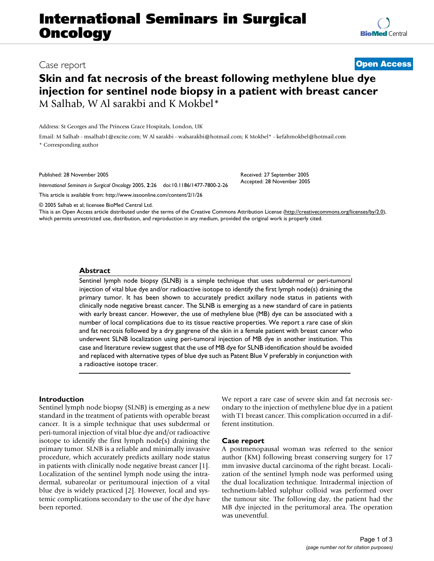# **International Seminars in Surgical Oncology**

### Case report **[Open Access](http://www.biomedcentral.com/info/about/charter/)**

### **Skin and fat necrosis of the breast following methylene blue dye injection for sentinel node biopsy in a patient with breast cancer** M Salhab, W Al sarakbi and K Mokbel\*

Address: St Georges and The Princess Grace Hospitals, London, UK

Email: M Salhab - msalhab1@excite.com; W Al sarakbi - walsarakbi@hotmail.com; K Mokbel\* - kefahmokbel@hotmail.com \* Corresponding author

Published: 28 November 2005

*International Seminars in Surgical Oncology* 2005, **2**:26 doi:10.1186/1477-7800-2-26

[This article is available from: http://www.issoonline.com/content/2/1/26](http://www.issoonline.com/content/2/1/26)

© 2005 Salhab et al; licensee BioMed Central Ltd.

This is an Open Access article distributed under the terms of the Creative Commons Attribution License [\(http://creativecommons.org/licenses/by/2.0\)](http://creativecommons.org/licenses/by/2.0), which permits unrestricted use, distribution, and reproduction in any medium, provided the original work is properly cited.

#### **Abstract**

Sentinel lymph node biopsy (SLNB) is a simple technique that uses subdermal or peri-tumoral injection of vital blue dye and/or radioactive isotope to identify the first lymph node(s) draining the primary tumor. It has been shown to accurately predict axillary node status in patients with clinically node negative breast cancer. The SLNB is emerging as a new standard of care in patients with early breast cancer. However, the use of methylene blue (MB) dye can be associated with a number of local complications due to its tissue reactive properties. We report a rare case of skin and fat necrosis followed by a dry gangrene of the skin in a female patient with breast cancer who underwent SLNB localization using peri-tumoral injection of MB dye in another institution. This case and literature review suggest that the use of MB dye for SLNB identification should be avoided and replaced with alternative types of blue dye such as Patent Blue V preferably in conjunction with a radioactive isotope tracer.

#### **Introduction**

Sentinel lymph node biopsy (SLNB) is emerging as a new standard in the treatment of patients with operable breast cancer. It is a simple technique that uses subdermal or peri-tumoral injection of vital blue dye and/or radioactive isotope to identify the first lymph node(s) draining the primary tumor. SLNB is a reliable and minimally invasive procedure, which accurately predicts axillary node status in patients with clinically node negative breast cancer [1]. Localization of the sentinel lymph node using the intradermal, subareolar or peritumoural injection of a vital blue dye is widely practiced [2]. However, local and systemic complications secondary to the use of the dye have been reported.

We report a rare case of severe skin and fat necrosis secondary to the injection of methylene blue dye in a patient with T1 breast cancer. This complication occurred in a different institution.

#### **Case report**

A postmenopausal woman was referred to the senior author (KM) following breast conserving surgery for 17 mm invasive ductal carcinoma of the right breast. Localization of the sentinel lymph node was performed using the dual localization technique. Intradermal injection of technetium-labled sulphur colloid was performed over the tumour site. The following day, the patient had the MB dye injected in the peritumoral area. The operation was uneventful.



## Received: 27 September 2005

Accepted: 28 November 2005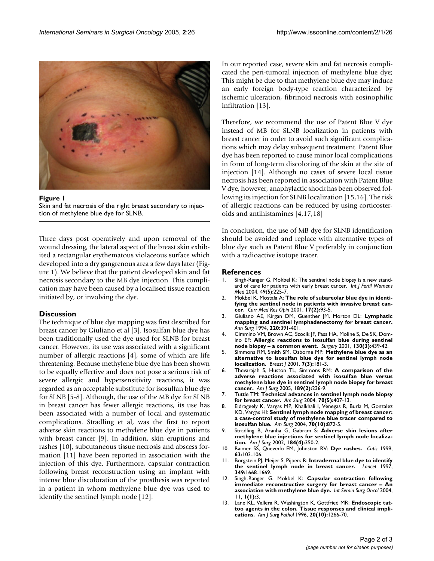

Figure 1 Skin and fat necrosis of the right breast secondary to injection of methylene blue dye for SLNB.

Three days post operatively and upon removal of the wound dressing, the lateral aspect of the breast skin exhibited a rectangular erythematous violaceous surface which developed into a dry gangrenous area a few days later (Figure 1). We believe that the patient developed skin and fat necrosis secondary to the MB dye injection. This complication may have been caused by a localised tissue reaction initiated by, or involving the dye.

#### **Discussion**

The technique of blue dye mapping was first described for breast cancer by Giuliano et al [3]. Isosulfan blue dye has been traditionally used the dye used for SLNB for breast cancer. However, its use was associated with a significant number of allergic reactions [4], some of which are life threatening. Because methylene blue dye has been shown to be equally effective and does not pose a serious risk of severe allergic and hypersensitivity reactions, it was regarded as an acceptable substitute for isosulfan blue dye for SLNB [5-8]. Although, the use of the MB dye for SLNB in breast cancer has fewer allergic reactions, its use has been associated with a number of local and systematic complications. Stradling et al, was the first to report adverse skin reactions to methylene blue dye in patients with breast cancer [9]. In addition, skin eruptions and rashes [10], subcutaneous tissue necrosis and abscess formation [11] have been reported in association with the injection of this dye. Furthermore, capsular contraction following breast reconstruction using an implant with intense blue discoloration of the prosthesis was reported in a patient in whom methylene blue dye was used to identify the sentinel lymph node [12].

In our reported case, severe skin and fat necrosis complicated the peri-tumoral injection of methylene blue dye; This might be due to that methylene blue dye may induce an early foreign body-type reaction characterized by ischemic ulceration, fibrinoid necrosis with eosinophilic infiltration [13].

Therefore, we recommend the use of Patent Blue V dye instead of MB for SLNB localization in patients with breast cancer in order to avoid such significant complications which may delay subsequent treatment. Patent Blue dye has been reported to cause minor local complications in form of long-term discoloring of the skin at the site of injection [14]. Although no cases of severe local tissue necrosis has been reported in association with Patent Blue V dye, however, anaphylactic shock has been observed following its injection for SLNB localization [15,16]. The risk of allergic reactions can be reduced by using corticosteroids and antihistamines [4,17,18]

In conclusion, the use of MB dye for SLNB identification should be avoided and replace with alternative types of blue dye such as Patent Blue V preferably in conjunction with a radioactive isotope tracer.

#### **References**

- 1. Singh-Ranger G, Mokbel K: [The sentinel node biopsy is a new stand](http://www.ncbi.nlm.nih.gov/entrez/query.fcgi?cmd=Retrieve&db=PubMed&dopt=Abstract&list_uids=15633480)[ard of care for patients with early breast cancer.](http://www.ncbi.nlm.nih.gov/entrez/query.fcgi?cmd=Retrieve&db=PubMed&dopt=Abstract&list_uids=15633480) *Int J Fertil Womens Med* 2004, 49(5):225-7.
- 2. Mokbel K, Mostafa A: **[The role of subareolar blue dye in identi](http://www.ncbi.nlm.nih.gov/entrez/query.fcgi?cmd=Retrieve&db=PubMed&dopt=Abstract&list_uids=11759188)[fying the sentinel node in patients with invasive breast can](http://www.ncbi.nlm.nih.gov/entrez/query.fcgi?cmd=Retrieve&db=PubMed&dopt=Abstract&list_uids=11759188)[cer.](http://www.ncbi.nlm.nih.gov/entrez/query.fcgi?cmd=Retrieve&db=PubMed&dopt=Abstract&list_uids=11759188)** *Curr Med Res Opin* 2001, **17(2):**93-5.
- 3. Giuliano AE, Kirgan DM, Guenther JM, Morton DL: **[Lymphatic](http://www.ncbi.nlm.nih.gov/entrez/query.fcgi?cmd=Retrieve&db=PubMed&dopt=Abstract&list_uids=8092905) [mapping and sentinel lymphadenectomy for breast cancer.](http://www.ncbi.nlm.nih.gov/entrez/query.fcgi?cmd=Retrieve&db=PubMed&dopt=Abstract&list_uids=8092905)** *Ann Surg* 1994, **220:**391-401.
- 4. Cimmino VM, Brown AC, Szocik JF, Pass HA, Moline S, De SK, Domino EF: **[Allergic reactions to isosulfan blue during sentinel](http://www.ncbi.nlm.nih.gov/entrez/query.fcgi?cmd=Retrieve&db=PubMed&dopt=Abstract&list_uids=11562667) [node biopsy – a common event.](http://www.ncbi.nlm.nih.gov/entrez/query.fcgi?cmd=Retrieve&db=PubMed&dopt=Abstract&list_uids=11562667)** *Surgery* 2001, **130(3):**439-42.
- 5. Simmons RM, Smith SM, Osborne MP: **[Methylene blue dye as an](http://www.ncbi.nlm.nih.gov/entrez/query.fcgi?cmd=Retrieve&db=PubMed&dopt=Abstract&list_uids=11469932) [alternative to isosulfan blue dye for sentinel lymph node](http://www.ncbi.nlm.nih.gov/entrez/query.fcgi?cmd=Retrieve&db=PubMed&dopt=Abstract&list_uids=11469932) [localization.](http://www.ncbi.nlm.nih.gov/entrez/query.fcgi?cmd=Retrieve&db=PubMed&dopt=Abstract&list_uids=11469932)** *Breast J* 2001, **7(3):**181-3.
- 6. Thevarajah S, Huston TL, Simmons RM: **[A comparison of the](http://www.ncbi.nlm.nih.gov/entrez/query.fcgi?cmd=Retrieve&db=PubMed&dopt=Abstract&list_uids=15720998) adverse reactions associated with isosulfan blue versus [methylene blue dye in sentinel lymph node biopsy for breast](http://www.ncbi.nlm.nih.gov/entrez/query.fcgi?cmd=Retrieve&db=PubMed&dopt=Abstract&list_uids=15720998) [cancer.](http://www.ncbi.nlm.nih.gov/entrez/query.fcgi?cmd=Retrieve&db=PubMed&dopt=Abstract&list_uids=15720998)** *Am J Surg* 2005, **189(2):**236-9.
- 7. Tuttle TM: **[Technical advances in sentinel lymph node biopsy](http://www.ncbi.nlm.nih.gov/entrez/query.fcgi?cmd=Retrieve&db=PubMed&dopt=Abstract&list_uids=15156948) [for breast cancer.](http://www.ncbi.nlm.nih.gov/entrez/query.fcgi?cmd=Retrieve&db=PubMed&dopt=Abstract&list_uids=15156948)** *Am Surg* 2004, **70(5):**407-13.
- 8. Eldrageely K, Vargas MP, Khalkhali I, Venegas R, Burla M, Gonzalez KD, Vargas HI: **[Sentinel lymph node mapping of breast cancer:](http://www.ncbi.nlm.nih.gov/entrez/query.fcgi?cmd=Retrieve&db=PubMed&dopt=Abstract&list_uids=15529840) [a case-control study of methylene blue tracer compared to](http://www.ncbi.nlm.nih.gov/entrez/query.fcgi?cmd=Retrieve&db=PubMed&dopt=Abstract&list_uids=15529840) [isosulfan blue.](http://www.ncbi.nlm.nih.gov/entrez/query.fcgi?cmd=Retrieve&db=PubMed&dopt=Abstract&list_uids=15529840)** *Am Surg* 2004, **70(10):**872-5.
- 9. Stradling B, Aranha G, Gabram S: **[Adverse skin lesions after](http://www.ncbi.nlm.nih.gov/entrez/query.fcgi?cmd=Retrieve&db=PubMed&dopt=Abstract&list_uids=12383900) [methylene blue injections for sentinel lymph node localiza](http://www.ncbi.nlm.nih.gov/entrez/query.fcgi?cmd=Retrieve&db=PubMed&dopt=Abstract&list_uids=12383900)[tion.](http://www.ncbi.nlm.nih.gov/entrez/query.fcgi?cmd=Retrieve&db=PubMed&dopt=Abstract&list_uids=12383900)** *Am J Surg* 2002, **184(4):**350-2.
- 10. Raimer SS, Quevedo EM, Johnston RV: **[Dye rashes.](http://www.ncbi.nlm.nih.gov/entrez/query.fcgi?cmd=Retrieve&db=PubMed&dopt=Abstract&list_uids=10071743)** *Cutis* 1999, **63:**103-106.
- 11. Borgstein PJ, Meijer S, Pijpers R: **[Intradermal blue dye to identify](http://www.ncbi.nlm.nih.gov/entrez/query.fcgi?cmd=Retrieve&db=PubMed&dopt=Abstract&list_uids=9186389)** [the sentinel lymph node in breast cancer.](http://www.ncbi.nlm.nih.gov/entrez/query.fcgi?cmd=Retrieve&db=PubMed&dopt=Abstract&list_uids=9186389) **349:**1668-1669.
- 12. Singh-Ranger G, Mokbel K: **Capsular contraction following immediate reconstructive surgery for breast cancer – An association with methylene blue dye.** *Int Semin Surg Oncol* 2004, **11, 1(1):**3.
- 13. Lane KL, Vallera R, Washington K, Gottfried MR: **[Endoscopic tat](http://www.ncbi.nlm.nih.gov/entrez/query.fcgi?cmd=Retrieve&db=PubMed&dopt=Abstract&list_uids=8827034)[too agents in the colon. Tissue responses and clinical impli](http://www.ncbi.nlm.nih.gov/entrez/query.fcgi?cmd=Retrieve&db=PubMed&dopt=Abstract&list_uids=8827034)[cations.](http://www.ncbi.nlm.nih.gov/entrez/query.fcgi?cmd=Retrieve&db=PubMed&dopt=Abstract&list_uids=8827034)** *Am J Surg Pathol* 1996, **20(10):**1266-70.